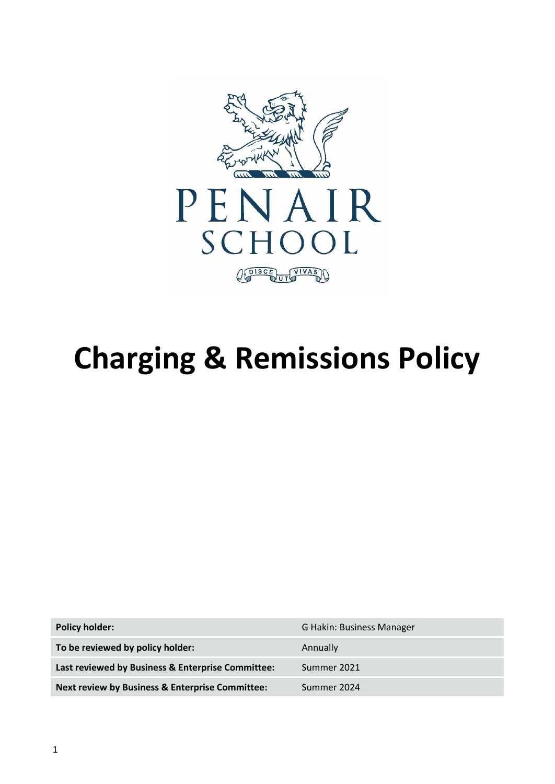

# **Charging & Remissions Policy**

| Policy holder:                                             | G Hakin: Business Manager |
|------------------------------------------------------------|---------------------------|
| To be reviewed by policy holder:                           | Annually                  |
| Last reviewed by Business & Enterprise Committee:          | Summer 2021               |
| <b>Next review by Business &amp; Enterprise Committee:</b> | Summer 2024               |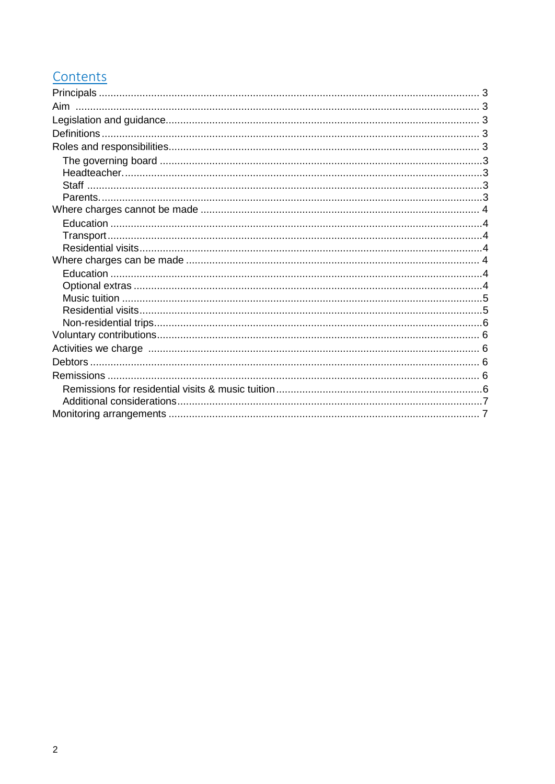# Contents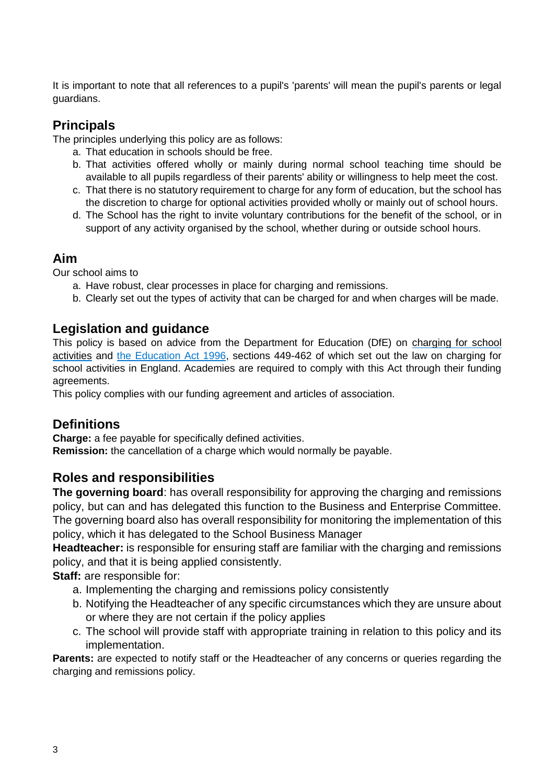It is important to note that all references to a pupil's 'parents' will mean the pupil's parents or legal guardians.

# <span id="page-2-0"></span>**Principals**

The principles underlying this policy are as follows:

- a. That education in schools should be free.
- b. That activities offered wholly or mainly during normal school teaching time should be available to all pupils regardless of their parents' ability or willingness to help meet the cost.
- c. That there is no statutory requirement to charge for any form of education, but the school has the discretion to charge for optional activities provided wholly or mainly out of school hours.
- d. The School has the right to invite voluntary contributions for the benefit of the school, or in support of any activity organised by the school, whether during or outside school hours.

# <span id="page-2-1"></span>**Aim**

Our school aims to

- a. Have robust, clear processes in place for charging and remissions.
- b. Clearly set out the types of activity that can be charged for and when charges will be made.

# <span id="page-2-2"></span>**Legislation and guidance**

This policy is based on advice from the Department for Education (DfE) on [charging for school](https://www.gov.uk/government/publications/charging-for-school-activities)  [activities](https://www.gov.uk/government/publications/charging-for-school-activities) and [the Education Act 1996,](http://www.legislation.gov.uk/ukpga/1996/56/part/VI/chapter/III) sections 449-462 of which set out the law on charging for school activities in England. Academies are required to comply with this Act through their funding agreements.

This policy complies with our funding agreement and articles of association.

# <span id="page-2-3"></span>**Definitions**

**Charge:** a fee payable for specifically defined activities.

**Remission:** the cancellation of a charge which would normally be payable.

# <span id="page-2-4"></span>**Roles and responsibilities**

<span id="page-2-5"></span>**The governing board**: has overall responsibility for approving the charging and remissions policy, but can and has delegated this function to the Business and Enterprise Committee. The governing board also has overall responsibility for monitoring the implementation of this policy, which it has delegated to the School Business Manager

<span id="page-2-6"></span>**Headteacher:** is responsible for ensuring staff are familiar with the charging and remissions policy, and that it is being applied consistently.

<span id="page-2-7"></span>**Staff:** are responsible for:

- a. Implementing the charging and remissions policy consistently
- b. Notifying the Headteacher of any specific circumstances which they are unsure about or where they are not certain if the policy applies
- c. The school will provide staff with appropriate training in relation to this policy and its implementation.

<span id="page-2-8"></span>**Parents:** are expected to notify staff or the Headteacher of any concerns or queries regarding the charging and remissions policy.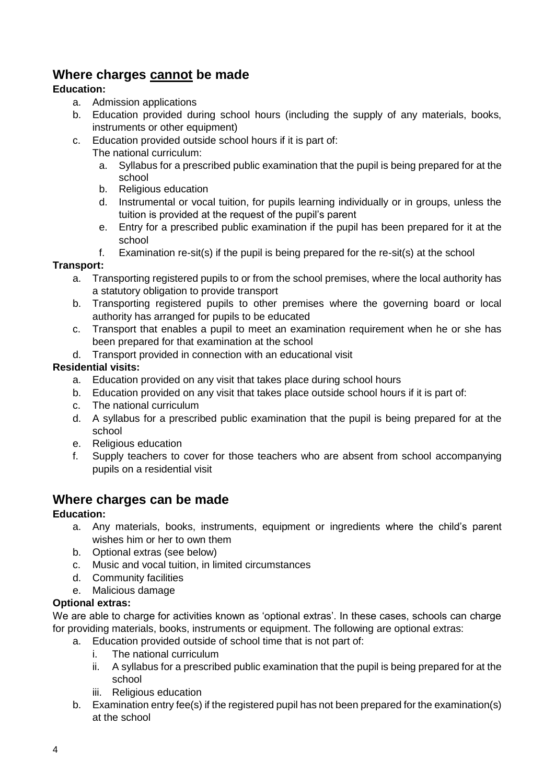# <span id="page-3-0"></span>**Where charges cannot be made**

#### <span id="page-3-1"></span>**Education:**

- a. Admission applications
- b. Education provided during school hours (including the supply of any materials, books, instruments or other equipment)
- c. Education provided outside school hours if it is part of: The national curriculum:
	- a. Syllabus for a prescribed public examination that the pupil is being prepared for at the school
	- b. Religious education
	- d. Instrumental or vocal tuition, for pupils learning individually or in groups, unless the tuition is provided at the request of the pupil's parent
	- e. Entry for a prescribed public examination if the pupil has been prepared for it at the school
	- f. Examination re-sit(s) if the pupil is being prepared for the re-sit(s) at the school

#### <span id="page-3-2"></span>**Transport:**

- a. Transporting registered pupils to or from the school premises, where the local authority has a statutory obligation to provide transport
- b. Transporting registered pupils to other premises where the governing board or local authority has arranged for pupils to be educated
- c. Transport that enables a pupil to meet an examination requirement when he or she has been prepared for that examination at the school
- d. Transport provided in connection with an educational visit

#### <span id="page-3-3"></span>**Residential visits:**

- a. Education provided on any visit that takes place during school hours
- b. Education provided on any visit that takes place outside school hours if it is part of:
- c. The national curriculum
- d. A syllabus for a prescribed public examination that the pupil is being prepared for at the school
- e. Religious education
- f. Supply teachers to cover for those teachers who are absent from school accompanying pupils on a residential visit

# <span id="page-3-4"></span>**Where charges can be made**

#### <span id="page-3-5"></span>**Education:**

- a. Any materials, books, instruments, equipment or ingredients where the child's parent wishes him or her to own them
- b. Optional extras (see below)
- c. Music and vocal tuition, in limited circumstances
- d. Community facilities
- e. Malicious damage

#### <span id="page-3-6"></span>**Optional extras:**

We are able to charge for activities known as 'optional extras'. In these cases, schools can charge for providing materials, books, instruments or equipment. The following are optional extras:

- a. Education provided outside of school time that is not part of:
	- i. The national curriculum
	- ii. A syllabus for a prescribed public examination that the pupil is being prepared for at the school
	- iii. Religious education
- b. Examination entry fee(s) if the registered pupil has not been prepared for the examination(s) at the school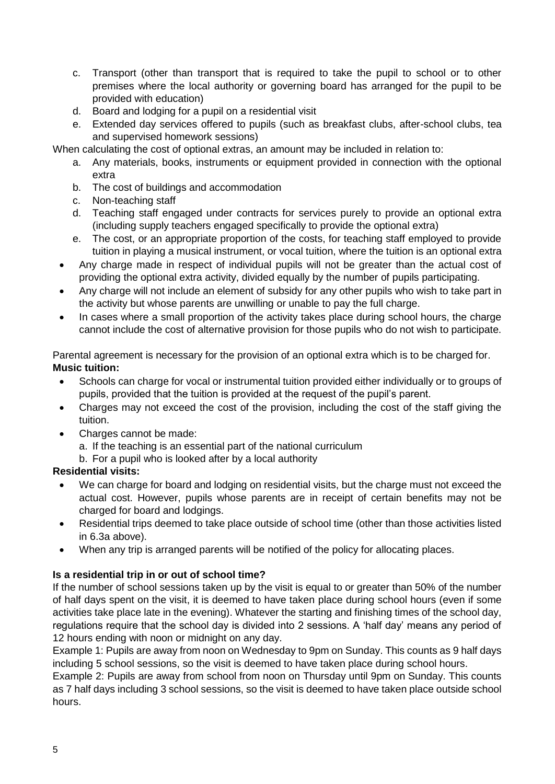- c. Transport (other than transport that is required to take the pupil to school or to other premises where the local authority or governing board has arranged for the pupil to be provided with education)
- d. Board and lodging for a pupil on a residential visit
- e. Extended day services offered to pupils (such as breakfast clubs, after-school clubs, tea and supervised homework sessions)

When calculating the cost of optional extras, an amount may be included in relation to:

- a. Any materials, books, instruments or equipment provided in connection with the optional extra
- b. The cost of buildings and accommodation
- c. Non-teaching staff
- d. Teaching staff engaged under contracts for services purely to provide an optional extra (including supply teachers engaged specifically to provide the optional extra)
- e. The cost, or an appropriate proportion of the costs, for teaching staff employed to provide tuition in playing a musical instrument, or vocal tuition, where the tuition is an optional extra
- Any charge made in respect of individual pupils will not be greater than the actual cost of providing the optional extra activity, divided equally by the number of pupils participating.
- Any charge will not include an element of subsidy for any other pupils who wish to take part in the activity but whose parents are unwilling or unable to pay the full charge.
- In cases where a small proportion of the activity takes place during school hours, the charge cannot include the cost of alternative provision for those pupils who do not wish to participate.

<span id="page-4-0"></span>Parental agreement is necessary for the provision of an optional extra which is to be charged for. **Music tuition:**

- Schools can charge for vocal or instrumental tuition provided either individually or to groups of pupils, provided that the tuition is provided at the request of the pupil's parent.
- Charges may not exceed the cost of the provision, including the cost of the staff giving the tuition.
- Charges cannot be made:
	- a. If the teaching is an essential part of the national curriculum
	- b. For a pupil who is looked after by a local authority

#### <span id="page-4-1"></span>**Residential visits:**

- We can charge for board and lodging on residential visits, but the charge must not exceed the actual cost. However, pupils whose parents are in receipt of certain benefits may not be charged for board and lodgings.
- Residential trips deemed to take place outside of school time (other than those activities listed in 6.3a above).
- When any trip is arranged parents will be notified of the policy for allocating places.

#### **Is a residential trip in or out of school time?**

If the number of school sessions taken up by the visit is equal to or greater than 50% of the number of half days spent on the visit, it is deemed to have taken place during school hours (even if some activities take place late in the evening). Whatever the starting and finishing times of the school day, regulations require that the school day is divided into 2 sessions. A 'half day' means any period of 12 hours ending with noon or midnight on any day.

Example 1: Pupils are away from noon on Wednesday to 9pm on Sunday. This counts as 9 half days including 5 school sessions, so the visit is deemed to have taken place during school hours.

Example 2: Pupils are away from school from noon on Thursday until 9pm on Sunday. This counts as 7 half days including 3 school sessions, so the visit is deemed to have taken place outside school hours.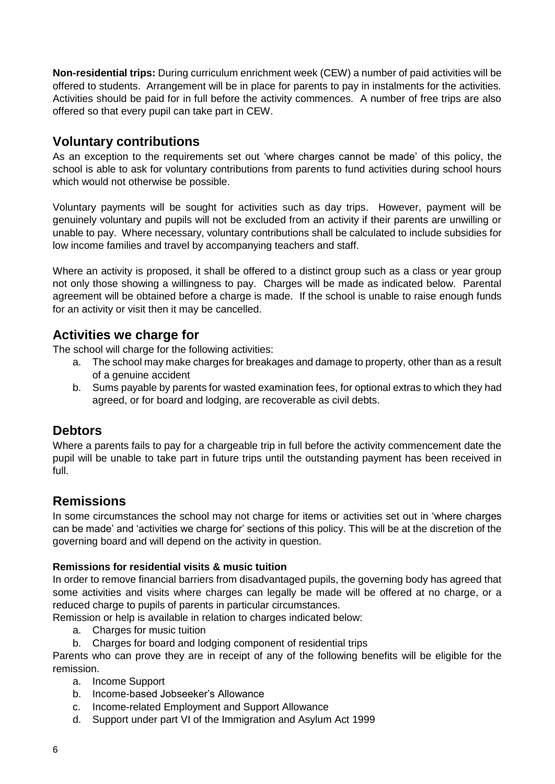<span id="page-5-0"></span>**Non-residential trips:** During curriculum enrichment week (CEW) a number of paid activities will be offered to students. Arrangement will be in place for parents to pay in instalments for the activities. Activities should be paid for in full before the activity commences. A number of free trips are also offered so that every pupil can take part in CEW.

# <span id="page-5-1"></span>**Voluntary contributions**

As an exception to the requirements set out 'where charges cannot be made' of this policy, the school is able to ask for voluntary contributions from parents to fund activities during school hours which would not otherwise be possible.

Voluntary payments will be sought for activities such as day trips. However, payment will be genuinely voluntary and pupils will not be excluded from an activity if their parents are unwilling or unable to pay. Where necessary, voluntary contributions shall be calculated to include subsidies for low income families and travel by accompanying teachers and staff.

Where an activity is proposed, it shall be offered to a distinct group such as a class or year group not only those showing a willingness to pay. Charges will be made as indicated below. Parental agreement will be obtained before a charge is made. If the school is unable to raise enough funds for an activity or visit then it may be cancelled.

# <span id="page-5-2"></span>**Activities we charge for**

The school will charge for the following activities:

- a. The school may make charges for breakages and damage to property, other than as a result of a genuine accident
- b. Sums payable by parents for wasted examination fees, for optional extras to which they had agreed, or for board and lodging, are recoverable as civil debts.

# <span id="page-5-3"></span>**Debtors**

Where a parents fails to pay for a chargeable trip in full before the activity commencement date the pupil will be unable to take part in future trips until the outstanding payment has been received in full.

# <span id="page-5-4"></span>**Remissions**

In some circumstances the school may not charge for items or activities set out in 'where charges can be made' and 'activities we charge for' sections of this policy. This will be at the discretion of the governing board and will depend on the activity in question.

#### <span id="page-5-5"></span>**Remissions for residential visits & music tuition**

In order to remove financial barriers from disadvantaged pupils, the governing body has agreed that some activities and visits where charges can legally be made will be offered at no charge, or a reduced charge to pupils of parents in particular circumstances.

Remission or help is available in relation to charges indicated below:

- a. Charges for music tuition
- b. Charges for board and lodging component of residential trips

Parents who can prove they are in receipt of any of the following benefits will be eligible for the remission.

- a. Income Support
- b. Income-based Jobseeker's Allowance
- c. Income-related Employment and Support Allowance
- d. Support under part VI of the Immigration and Asylum Act 1999